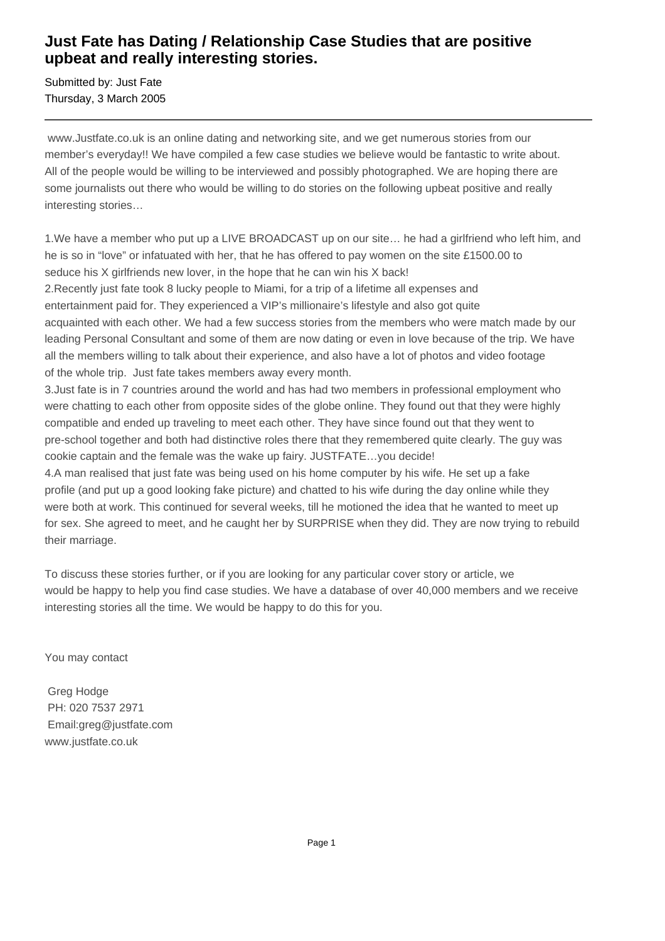## **Just Fate has Dating / Relationship Case Studies that are positive upbeat and really interesting stories.**

Submitted by: Just Fate Thursday, 3 March 2005

 www.Justfate.co.uk is an online dating and networking site, and we get numerous stories from our member's everyday!! We have compiled a few case studies we believe would be fantastic to write about. All of the people would be willing to be interviewed and possibly photographed. We are hoping there are some journalists out there who would be willing to do stories on the following upbeat positive and really interesting stories…

1. We have a member who put up a LIVE BROADCAST up on our site... he had a girlfriend who left him, and he is so in "love" or infatuated with her, that he has offered to pay women on the site £1500.00 to seduce his X girlfriends new lover, in the hope that he can win his X back!

2. Recently just fate took 8 lucky people to Miami, for a trip of a lifetime all expenses and entertainment paid for. They experienced a VIP's millionaire's lifestyle and also got quite acquainted with each other. We had a few success stories from the members who were match made by our leading Personal Consultant and some of them are now dating or even in love because of the trip. We have all the members willing to talk about their experience, and also have a lot of photos and video footage of the whole trip. Just fate takes members away every month.

3. Just fate is in 7 countries around the world and has had two members in professional employment who were chatting to each other from opposite sides of the globe online. They found out that they were highly compatible and ended up traveling to meet each other. They have since found out that they went to pre-school together and both had distinctive roles there that they remembered quite clearly. The guy was cookie captain and the female was the wake up fairy. JUSTFATE…you decide!

4. A man realised that just fate was being used on his home computer by his wife. He set up a fake profile (and put up a good looking fake picture) and chatted to his wife during the day online while they were both at work. This continued for several weeks, till he motioned the idea that he wanted to meet up for sex. She agreed to meet, and he caught her by SURPRISE when they did. They are now trying to rebuild their marriage.

To discuss these stories further, or if you are looking for any particular cover story or article, we would be happy to help you find case studies. We have a database of over 40,000 members and we receive interesting stories all the time. We would be happy to do this for you.

You may contact

 Greg Hodge PH: 020 7537 2971 Email:greg@justfate.com www.justfate.co.uk